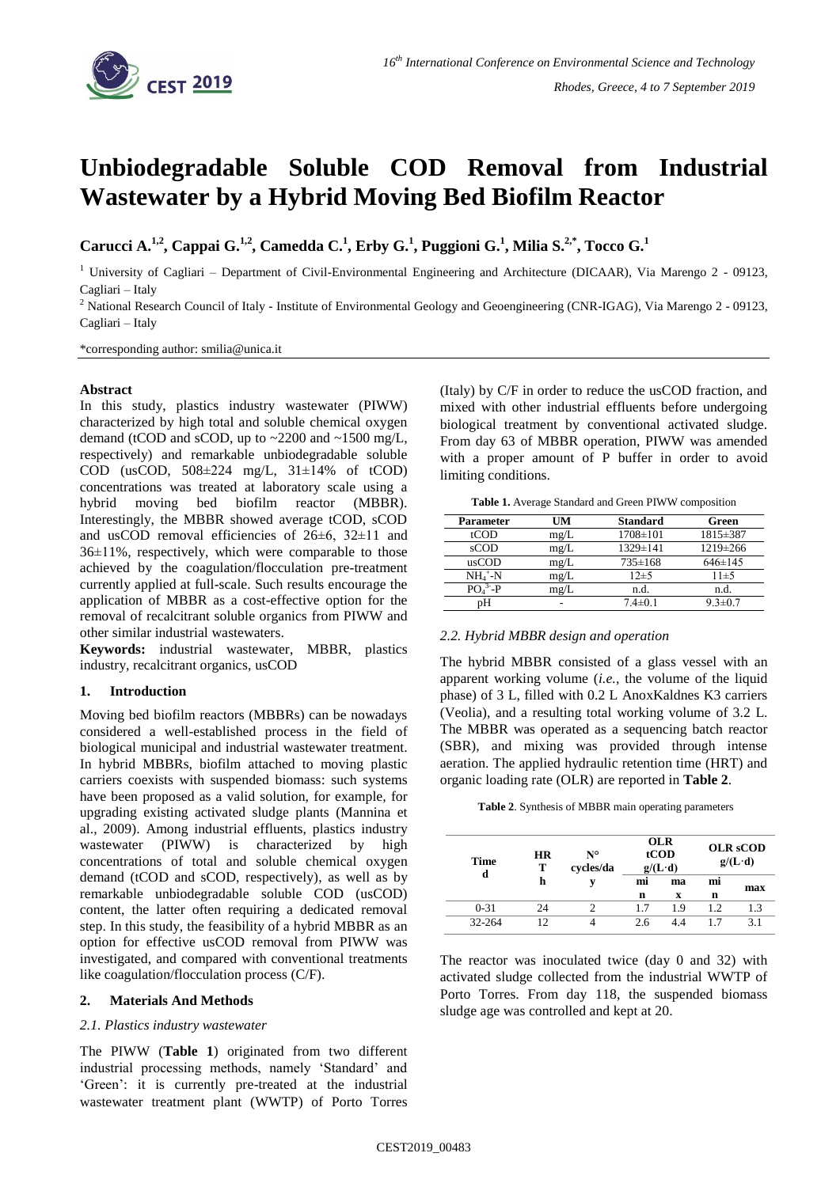

# **Unbiodegradable Soluble COD Removal from Industrial Wastewater by a Hybrid Moving Bed Biofilm Reactor**

**Carucci A.**<sup>1,2</sup>, **Cappai G.**<sup>1,2</sup>, **Camedda C.**<sup>1</sup>, **Erby G.**<sup>1</sup>, **Puggioni G.**<sup>1</sup>, **Milia S.**<sup>2,\*</sup>, **Tocco G.**<sup>1</sup>

<sup>1</sup> University of Cagliari – Department of Civil-Environmental Engineering and Architecture (DICAAR), Via Marengo  $2 - 09123$ , Cagliari – Italy

<sup>2</sup> National Research Council of Italy - Institute of Environmental Geology and Geoengineering (CNR-IGAG), Via Marengo 2 - 09123, Cagliari – Italy

\*corresponding author: smilia@unica.it

## **Abstract**

In this study, plastics industry wastewater (PIWW) characterized by high total and soluble chemical oxygen demand (tCOD and sCOD, up to  $\sim$  2200 and  $\sim$  1500 mg/L, respectively) and remarkable unbiodegradable soluble COD (usCOD,  $508\pm224$  mg/L,  $31\pm14\%$  of tCOD) concentrations was treated at laboratory scale using a hybrid moving bed biofilm reactor (MBBR). Interestingly, the MBBR showed average tCOD, sCOD and usCOD removal efficiencies of 26±6, 32±11 and 36±11%, respectively, which were comparable to those achieved by the coagulation/flocculation pre-treatment currently applied at full-scale. Such results encourage the application of MBBR as a cost-effective option for the removal of recalcitrant soluble organics from PIWW and other similar industrial wastewaters.

**Keywords:** industrial wastewater, MBBR, plastics industry, recalcitrant organics, usCOD

### **1. Introduction**

Moving bed biofilm reactors (MBBRs) can be nowadays considered a well-established process in the field of biological municipal and industrial wastewater treatment. In hybrid MBBRs, biofilm attached to moving plastic carriers coexists with suspended biomass: such systems have been proposed as a valid solution, for example, for upgrading existing activated sludge plants (Mannina et al., 2009). Among industrial effluents, plastics industry wastewater (PIWW) is characterized by high concentrations of total and soluble chemical oxygen demand (tCOD and sCOD, respectively), as well as by remarkable unbiodegradable soluble COD (usCOD) content, the latter often requiring a dedicated removal step. In this study, the feasibility of a hybrid MBBR as an option for effective usCOD removal from PIWW was investigated, and compared with conventional treatments like coagulation/flocculation process (C/F).

### **2. Materials And Methods**

### *2.1. Plastics industry wastewater*

The PIWW (**Table 1**) originated from two different industrial processing methods, namely 'Standard' and 'Green': it is currently pre-treated at the industrial wastewater treatment plant (WWTP) of Porto Torres (Italy) by C/F in order to reduce the usCOD fraction, and mixed with other industrial effluents before undergoing biological treatment by conventional activated sludge. From day 63 of MBBR operation, PIWW was amended with a proper amount of P buffer in order to avoid limiting conditions.

**Table 1.** Average Standard and Green PIWW composition

| <b>Parameter</b> | UM   | <b>Standard</b> | Green         |  |
|------------------|------|-----------------|---------------|--|
| tCOD             | mg/L | $1708 \pm 101$  | 1815±387      |  |
| $s$ COD          | mg/L | 1329±141        | 1219±266      |  |
| usCOD            | mg/L | 735±168         | $646 \pm 145$ |  |
| $NH_4^+$ -N      | mg/L | $12+5$          | $11 + 5$      |  |
| $PO43-P$         | mg/L | n.d.            | n.d.          |  |
| nН               |      | $7.4 \pm 0.1$   | $9.3 \pm 0.7$ |  |

## *2.2. Hybrid MBBR design and operation*

The hybrid MBBR consisted of a glass vessel with an apparent working volume (*i.e.*, the volume of the liquid phase) of 3 L, filled with 0.2 L AnoxKaldnes K3 carriers (Veolia), and a resulting total working volume of 3.2 L. The MBBR was operated as a sequencing batch reactor (SBR), and mixing was provided through intense aeration. The applied hydraulic retention time (HRT) and organic loading rate (OLR) are reported in **Table 2**.

**Table 2**. Synthesis of MBBR main operating parameters

| <b>Time</b><br>d | <b>HR</b><br>т<br>h | $N^{\circ}$<br>cycles/da | <b>OLR</b><br>tCOD<br>$g/(L \cdot d)$ |     | <b>OLR</b> sCOD<br>$g/(L \cdot d)$ |     |
|------------------|---------------------|--------------------------|---------------------------------------|-----|------------------------------------|-----|
|                  |                     |                          | mi                                    | ma  | mi<br>max                          |     |
|                  |                     |                          | n                                     | X   | n                                  |     |
| $0 - 31$         | 24                  |                          | 1.7                                   | 19  | 12                                 | 1.3 |
| 32-264           | 12                  |                          | 2.6                                   | 4.4 |                                    | 31  |

The reactor was inoculated twice (day 0 and 32) with activated sludge collected from the industrial WWTP of Porto Torres. From day 118, the suspended biomass sludge age was controlled and kept at 20.